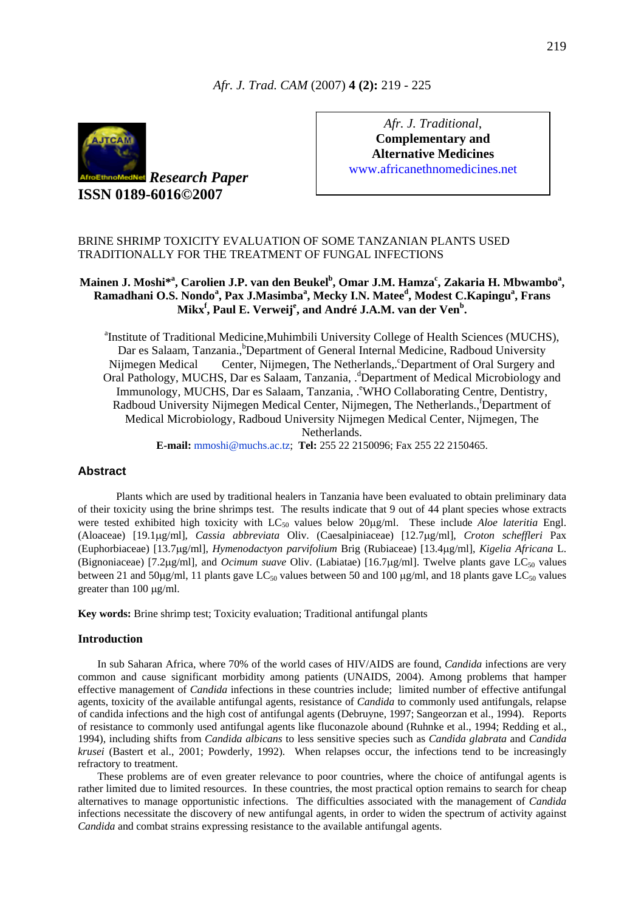## *Afr. J. Trad. CAM* (2007) **4 (2):** 219 - 225



*Research Paper* **ISSN 0189-6016©2007** 

*Afr. J. Traditional*, **Complementary and Alternative Medicines**  www.africanethnomedicines.net

## BRINE SHRIMP TOXICITY EVALUATION OF SOME TANZANIAN PLANTS USED TRADITIONALLY FOR THE TREATMENT OF FUNGAL INFECTIONS

# Mainen J. Moshi\*<sup>a</sup>, Carolien J.P. van den Beukel<sup>b</sup>, Omar J.M. Hamza<sup>c</sup>, Zakaria H. Mbwambo<sup>a</sup>, **Ramadhani O.S. Nondo<sup>a</sup> , Pax J.Masimba<sup>a</sup> , Mecky I.N. Mateed , Modest C.Kapingu<sup>a</sup> , Frans Mikx<sup>f</sup> , Paul E. Verweij<sup>e</sup> , and André J.A.M. van der Ven<sup>b</sup> .**

<sup>a</sup>Institute of Traditional Medicine, Muhimbili University College of Health Sciences (MUCHS), Dar es Salaam, Tanzania., <sup>b</sup>Department of General Internal Medicine, Radboud University Nijmegen Medical Center, Nijmegen, The Netherlands, °Department of Oral Surgery and Oral Pathology, MUCHS, Dar es Salaam, Tanzania, . d Department of Medical Microbiology and Immunology, MUCHS, Dar es Salaam, Tanzania, . <sup>e</sup>WHO Collaborating Centre, Dentistry, Radboud University Nijmegen Medical Center, Nijmegen, The Netherlands., Department of Medical Microbiology, Radboud University Nijmegen Medical Center, Nijmegen, The Netherlands.

**E-mail:** [mmoshi@muchs.ac.tz;](mailto:mmoshi@muchs.ac.tz) **Tel:** 255 22 2150096; Fax 255 22 2150465.

## **Abstract**

Plants which are used by traditional healers in Tanzania have been evaluated to obtain preliminary data of their toxicity using the brine shrimps test. The results indicate that 9 out of 44 plant species whose extracts were tested exhibited high toxicity with  $LC_{50}$  values below 20 $\mu$ g/ml. These include *Aloe lateritia* Engl. (Aloaceae) [19.1µg/ml], *Cassia abbreviata* Oliv. (Caesalpiniaceae) [12.7µg/ml], *Croton scheffleri* Pax (Euphorbiaceae) [13.7µg/ml], *Hymenodactyon parvifolium* Brig (Rubiaceae) [13.4µg/ml], *Kigelia Africana* L. (Bignoniaceae) [7.2μg/ml], and *Ocimum suave* Oliv. (Labiatae) [16.7μg/ml]. Twelve plants gave LC<sub>50</sub> values between 21 and 50 $\mu$ g/ml, 11 plants gave LC<sub>50</sub> values between 50 and 100  $\mu$ g/ml, and 18 plants gave LC<sub>50</sub> values greater than 100 µg/ml.

**Key words:** Brine shrimp test; Toxicity evaluation; Traditional antifungal plants

## **Introduction**

In sub Saharan Africa, where 70% of the world cases of HIV/AIDS are found, *Candida* infections are very common and cause significant morbidity among patients (UNAIDS, 2004). Among problems that hamper effective management of *Candida* infections in these countries include; limited number of effective antifungal agents, toxicity of the available antifungal agents, resistance of *Candida* to commonly used antifungals, relapse of candida infections and the high cost of antifungal agents (Debruyne, 1997; Sangeorzan et al., 1994). Reports of resistance to commonly used antifungal agents like fluconazole abound (Ruhnke et al., 1994; Redding et al., 1994), including shifts from *Candida albicans* to less sensitive species such as *Candida glabrata* and *Candida krusei* (Bastert et al., 2001; Powderly, 1992). When relapses occur, the infections tend to be increasingly refractory to treatment.

These problems are of even greater relevance to poor countries, where the choice of antifungal agents is rather limited due to limited resources. In these countries, the most practical option remains to search for cheap alternatives to manage opportunistic infections. The difficulties associated with the management of *Candida* infections necessitate the discovery of new antifungal agents, in order to widen the spectrum of activity against *Candida* and combat strains expressing resistance to the available antifungal agents.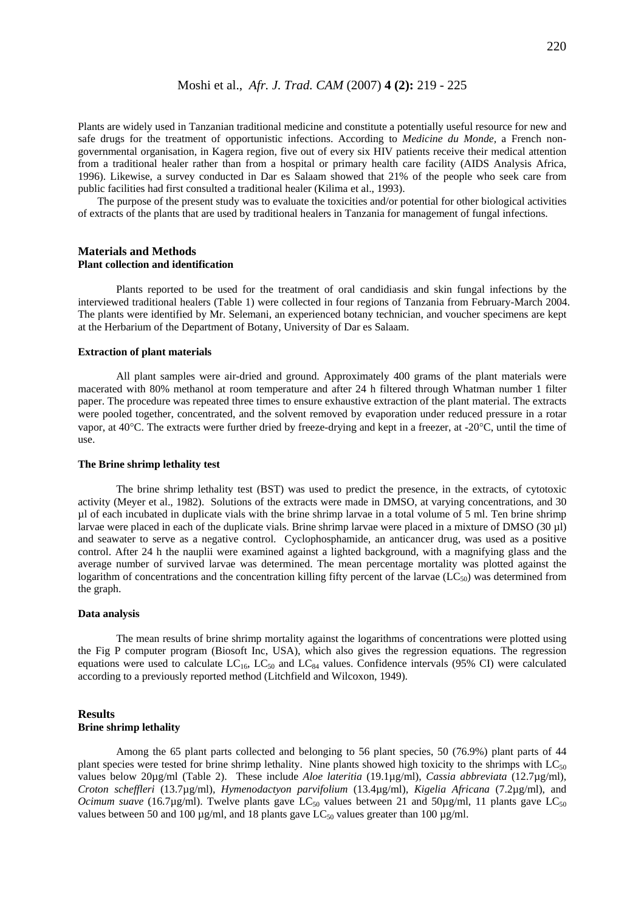Plants are widely used in Tanzanian traditional medicine and constitute a potentially useful resource for new and safe drugs for the treatment of opportunistic infections. According to *Medicine du Monde,* a French nongovernmental organisation, in Kagera region, five out of every six HIV patients receive their medical attention from a traditional healer rather than from a hospital or primary health care facility (AIDS Analysis Africa, 1996). Likewise, a survey conducted in Dar es Salaam showed that 21% of the people who seek care from public facilities had first consulted a traditional healer (Kilima et al., 1993).

The purpose of the present study was to evaluate the toxicities and/or potential for other biological activities of extracts of the plants that are used by traditional healers in Tanzania for management of fungal infections.

#### **Materials and Methods Plant collection and identification**

Plants reported to be used for the treatment of oral candidiasis and skin fungal infections by the interviewed traditional healers (Table 1) were collected in four regions of Tanzania from February-March 2004. The plants were identified by Mr. Selemani, an experienced botany technician, and voucher specimens are kept at the Herbarium of the Department of Botany, University of Dar es Salaam.

#### **Extraction of plant materials**

All plant samples were air-dried and ground. Approximately 400 grams of the plant materials were macerated with 80% methanol at room temperature and after 24 h filtered through Whatman number 1 filter paper. The procedure was repeated three times to ensure exhaustive extraction of the plant material. The extracts were pooled together, concentrated, and the solvent removed by evaporation under reduced pressure in a rotar vapor, at 40°C. The extracts were further dried by freeze-drying and kept in a freezer, at -20°C, until the time of use.

#### **The Brine shrimp lethality test**

The brine shrimp lethality test (BST) was used to predict the presence, in the extracts, of cytotoxic activity (Meyer et al., 1982). Solutions of the extracts were made in DMSO, at varying concentrations, and 30 µl of each incubated in duplicate vials with the brine shrimp larvae in a total volume of 5 ml. Ten brine shrimp larvae were placed in each of the duplicate vials. Brine shrimp larvae were placed in a mixture of DMSO  $(30 \mu l)$ and seawater to serve as a negative control. Cyclophosphamide, an anticancer drug, was used as a positive control. After 24 h the nauplii were examined against a lighted background, with a magnifying glass and the average number of survived larvae was determined. The mean percentage mortality was plotted against the logarithm of concentrations and the concentration killing fifty percent of the larvae  $(LC_{50})$  was determined from the graph.

#### **Data analysis**

The mean results of brine shrimp mortality against the logarithms of concentrations were plotted using the Fig P computer program (Biosoft Inc, USA), which also gives the regression equations. The regression equations were used to calculate  $LC_{16}$ ,  $LC_{50}$  and  $LC_{84}$  values. Confidence intervals (95% CI) were calculated according to a previously reported method (Litchfield and Wilcoxon, 1949).

#### **Results Brine shrimp lethality**

Among the 65 plant parts collected and belonging to 56 plant species, 50 (76.9%) plant parts of 44 plant species were tested for brine shrimp lethality. Nine plants showed high toxicity to the shrimps with  $LC_{50}$ values below 20µg/ml (Table 2). These include *Aloe lateritia* (19.1µg/ml), *Cassia abbreviata* (12.7µg/ml)*, Croton scheffleri* (13.7µg/ml)*, Hymenodactyon parvifolium* (13.4µg/ml)*, Kigelia Africana* (7.2µg/ml), and *Ocimum suave* (16.7µg/ml). Twelve plants gave LC<sub>50</sub> values between 21 and 50µg/ml, 11 plants gave LC<sub>50</sub> values between 50 and 100  $\mu$ g/ml, and 18 plants gave LC<sub>50</sub> values greater than 100  $\mu$ g/ml.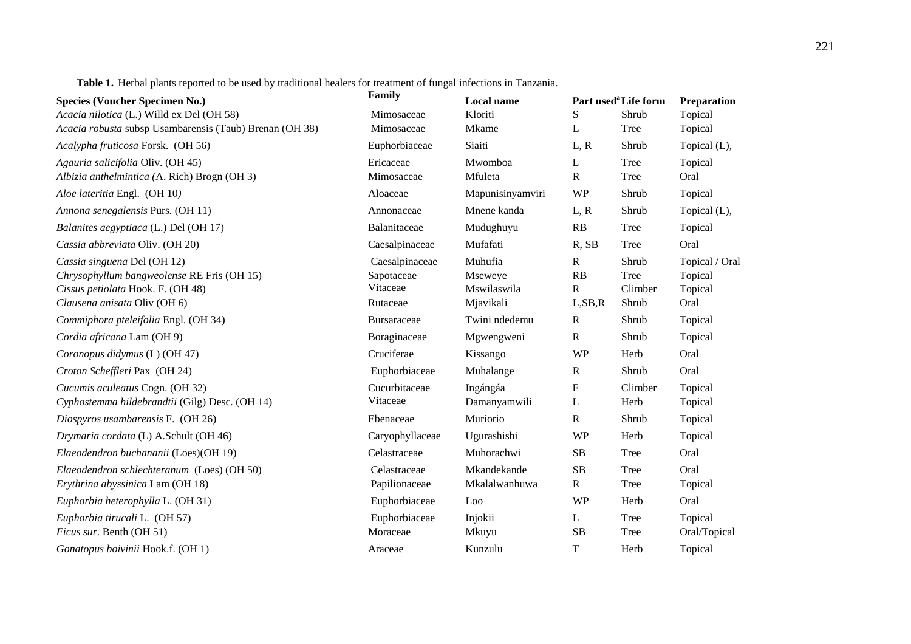**Table 1.** Herbal plants reported to be used by traditional healers for treatment of fungal infections in Tanzania.

| <b>Species (Voucher Specimen No.)</b>                   | Family             | Local name       |              | Part used <sup>a</sup> Life form | Preparation    |
|---------------------------------------------------------|--------------------|------------------|--------------|----------------------------------|----------------|
| Acacia nilotica (L.) Willd ex Del (OH 58)               | Mimosaceae         | Kloriti          | S            | Shrub                            | Topical        |
| Acacia robusta subsp Usambarensis (Taub) Brenan (OH 38) | Mimosaceae         | Mkame            | L            | Tree                             | Topical        |
| Acalypha fruticosa Forsk. (OH 56)                       | Euphorbiaceae      | Siaiti           | L, R         | Shrub                            | Topical (L),   |
| Agauria salicifolia Oliv. (OH 45)                       | Ericaceae          | Mwomboa          | L            | Tree                             | Topical        |
| Albizia anthelmintica (A. Rich) Brogn (OH 3)            | Mimosaceae         | Mfuleta          | ${\bf R}$    | Tree                             | Oral           |
| Aloe lateritia Engl. (OH 10)                            | Aloaceae           | Mapunisinyamviri | <b>WP</b>    | Shrub                            | Topical        |
| Annona senegalensis Purs. (OH 11)                       | Annonaceae         | Mnene kanda      | L, R         | Shrub                            | Topical (L),   |
| Balanites aegyptiaca (L.) Del (OH 17)                   | Balanitaceae       | Mudughuyu        | RB           | Tree                             | Topical        |
| Cassia abbreviata Oliv. (OH 20)                         | Caesalpinaceae     | Mufafati         | R, SB        | <b>Tree</b>                      | Oral           |
| Cassia singuena Del (OH 12)                             | Caesalpinaceae     | Muhufia          | $\mathbb{R}$ | Shrub                            | Topical / Oral |
| Chrysophyllum bangweolense RE Fris (OH 15)              | Sapotaceae         | Mseweye          | RB           | Tree                             | Topical        |
| Cissus petiolata Hook. F. (OH 48)                       | Vitaceae           | Mswilaswila      | $\mathbf R$  | Climber                          | Topical        |
| Clausena anisata Oliv (OH 6)                            | Rutaceae           | Mjavikali        | L, SB, R     | Shrub                            | Oral           |
| Commiphora pteleifolia Engl. (OH 34)                    | <b>Bursaraceae</b> | Twini ndedemu    | $\mathbf R$  | Shrub                            | Topical        |
| Cordia africana Lam (OH 9)                              | Boraginaceae       | Mgwengweni       | ${\bf R}$    | Shrub                            | Topical        |
| Coronopus didymus (L) (OH 47)                           | Cruciferae         | Kissango         | <b>WP</b>    | Herb                             | Oral           |
| Croton Scheffleri Pax (OH 24)                           | Euphorbiaceae      | Muhalange        | $\mathbf R$  | Shrub                            | Oral           |
| Cucumis aculeatus Cogn. (OH 32)                         | Cucurbitaceae      | Ingángáa         | ${\bf F}$    | Climber                          | Topical        |
| Cyphostemma hildebrandtii (Gilg) Desc. (OH 14)          | Vitaceae           | Damanyamwili     | L            | Herb                             | Topical        |
| Diospyros usambarensis F. (OH 26)                       | Ebenaceae          | Muriorio         | ${\bf R}$    | Shrub                            | Topical        |
| Drymaria cordata (L) A.Schult (OH 46)                   | Caryophyllaceae    | Ugurashishi      | <b>WP</b>    | Herb                             | Topical        |
| Elaeodendron buchananii (Loes)(OH 19)                   | Celastraceae       | Muhorachwi       | SB           | Tree                             | Oral           |
| Elaeodendron schlechteranum (Loes) (OH 50)              | Celastraceae       | Mkandekande      | SB           | <b>Tree</b>                      | Oral           |
| Erythrina abyssinica Lam (OH 18)                        | Papilionaceae      | Mkalalwanhuwa    | $\mathbf R$  | <b>Tree</b>                      | Topical        |
| Euphorbia heterophylla L. (OH 31)                       | Euphorbiaceae      | Loo              | <b>WP</b>    | Herb                             | Oral           |
| Euphorbia tirucali L. (OH 57)                           | Euphorbiaceae      | Injokii          | L            | Tree                             | Topical        |
| Ficus sur. Benth (OH 51)                                | Moraceae           | Mkuyu            | SB           | Tree                             | Oral/Topical   |
| Gonatopus boivinii Hook.f. (OH 1)                       | Araceae            | Kunzulu          | $\mathbf T$  | Herb                             | Topical        |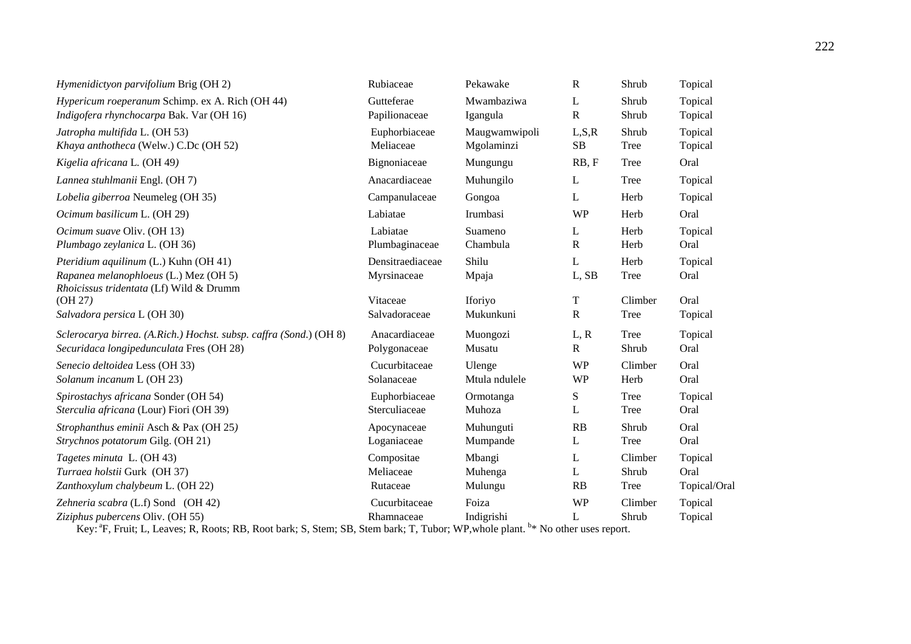| Hymenidictyon parvifolium Brig (OH 2)                                                                                                                               | Rubiaceae                                                    | Pekawake                               | $\mathbf R$                    | Shrub                           | Topical                            |
|---------------------------------------------------------------------------------------------------------------------------------------------------------------------|--------------------------------------------------------------|----------------------------------------|--------------------------------|---------------------------------|------------------------------------|
| Hypericum roeperanum Schimp. ex A. Rich (OH 44)                                                                                                                     | Gutteferae                                                   | Mwambaziwa                             | L                              | Shrub                           | Topical                            |
| Indigofera rhynchocarpa Bak. Var (OH 16)                                                                                                                            | Papilionaceae                                                | Igangula                               | $\mathbf R$                    | Shrub                           | Topical                            |
| Jatropha multifida L. (OH 53)                                                                                                                                       | Euphorbiaceae                                                | Maugwamwipoli                          | L, S, R                        | Shrub                           | Topical                            |
| Khaya anthotheca (Welw.) C.Dc (OH 52)                                                                                                                               | Meliaceae                                                    | Mgolaminzi                             | SB                             | Tree                            | Topical                            |
| Kigelia africana L. (OH 49)                                                                                                                                         | Bignoniaceae                                                 | Mungungu                               | RB, F                          | <b>Tree</b>                     | Oral                               |
| Lannea stuhlmanii Engl. (OH 7)                                                                                                                                      | Anacardiaceae                                                | Muhungilo                              | L                              | Tree                            | Topical                            |
| Lobelia giberroa Neumeleg (OH 35)                                                                                                                                   | Campanulaceae                                                | Gongoa                                 | L                              | Herb                            | Topical                            |
| Ocimum basilicum L. (OH 29)                                                                                                                                         | Labiatae                                                     | Irumbasi                               | <b>WP</b>                      | Herb                            | Oral                               |
| Ocimum suave Oliv. (OH 13)                                                                                                                                          | Labiatae                                                     | Suameno                                | L                              | Herb                            | Topical                            |
| Plumbago zeylanica L. (OH 36)                                                                                                                                       | Plumbaginaceae                                               | Chambula                               | $\mathbf R$                    | Herb                            | Oral                               |
| Pteridium aquilinum (L.) Kuhn (OH 41)<br>Rapanea melanophloeus (L.) Mez (OH 5)<br>Rhoicissus tridentata (Lf) Wild & Drumm<br>(OH 27)<br>Salvadora persica L (OH 30) | Densitraediaceae<br>Myrsinaceae<br>Vitaceae<br>Salvadoraceae | Shilu<br>Mpaja<br>Iforiyo<br>Mukunkuni | L<br>L, SB<br>T<br>$\mathbf R$ | Herb<br>Tree<br>Climber<br>Tree | Topical<br>Oral<br>Oral<br>Topical |
| Sclerocarya birrea. (A.Rich.) Hochst. subsp. caffra (Sond.) (OH 8)                                                                                                  | Anacardiaceae                                                | Muongozi                               | L, R                           | Tree                            | Topical                            |
| Securidaca longipedunculata Fres (OH 28)                                                                                                                            | Polygonaceae                                                 | Musatu                                 | $\mathbf{R}$                   | Shrub                           | Oral                               |
| Senecio deltoidea Less (OH 33)                                                                                                                                      | Cucurbitaceae                                                | Ulenge                                 | <b>WP</b>                      | Climber                         | Oral                               |
| Solanum incanum L (OH 23)                                                                                                                                           | Solanaceae                                                   | Mtula ndulele                          | <b>WP</b>                      | Herb                            | Oral                               |
| Spirostachys africana Sonder (OH 54)                                                                                                                                | Euphorbiaceae                                                | Ormotanga                              | S                              | Tree                            | Topical                            |
| Sterculia africana (Lour) Fiori (OH 39)                                                                                                                             | Sterculiaceae                                                | Muhoza                                 | L                              | <b>Tree</b>                     | Oral                               |
| Strophanthus eminii Asch & Pax (OH 25)                                                                                                                              | Apocynaceae                                                  | Muhunguti                              | RB                             | Shrub                           | Oral                               |
| Strychnos potatorum Gilg. (OH 21)                                                                                                                                   | Loganiaceae                                                  | Mumpande                               | L                              | Tree                            | Oral                               |
| Tagetes minuta L. (OH 43)                                                                                                                                           | Compositae                                                   | Mbangi                                 | L                              | Climber                         | Topical                            |
| Turraea holstii Gurk (OH 37)                                                                                                                                        | Meliaceae                                                    | Muhenga                                | L                              | Shrub                           | Oral                               |
| Zanthoxylum chalybeum L. (OH 22)                                                                                                                                    | Rutaceae                                                     | Mulungu                                | RB                             | Tree                            | Topical/Oral                       |
| Zehneria scabra (L.f) Sond (OH 42)                                                                                                                                  | Cucurbitaceae                                                | Foiza                                  | <b>WP</b>                      | Climber                         | Topical                            |
| Ziziphus pubercens Oliv. (OH 55)                                                                                                                                    | Rhamnaceae                                                   | Indigrishi                             | L                              | Shrub                           | Topical                            |

Key: <sup>a</sup>F, Fruit; L, Leaves; R, Roots; RB, Root bark; S, Stem; SB, Stem bark; T, Tubor; WP,whole plant. <sup>b</sup>\* No other uses report.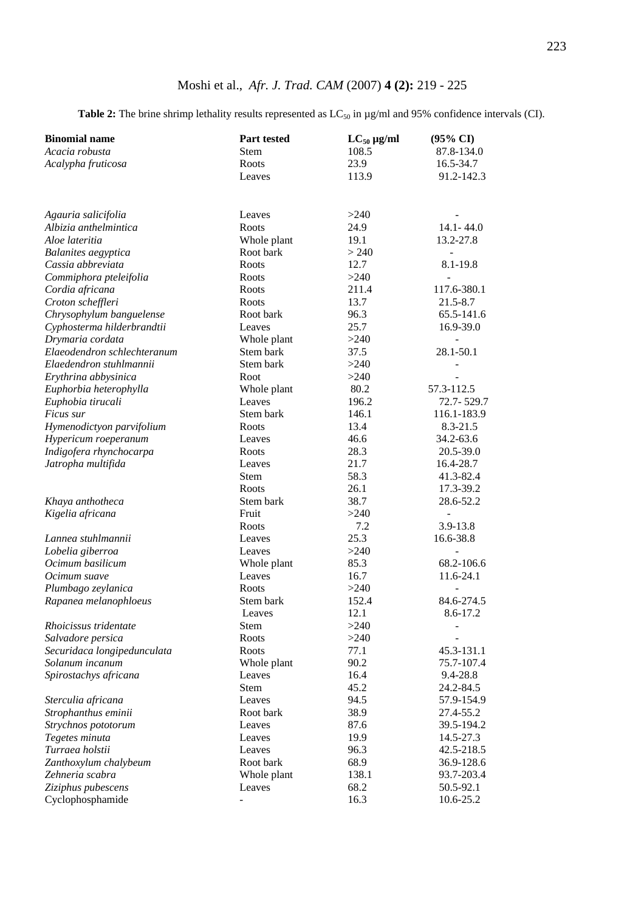**Table 2:** The brine shrimp lethality results represented as  $LC_{50}$  in  $\mu$ g/ml and 95% confidence intervals (CI).

| <b>Binomial name</b>        | <b>Part tested</b>     | $LC_{50}$ µg/ml | $(95\% \text{ CI})$      |
|-----------------------------|------------------------|-----------------|--------------------------|
| Acacia robusta              | <b>Stem</b>            | 108.5           | 87.8-134.0               |
| Acalypha fruticosa          | Roots                  | 23.9            | 16.5-34.7                |
|                             | Leaves                 | 113.9           | 91.2-142.3               |
|                             |                        |                 |                          |
| Agauria salicifolia         | Leaves                 | >240            |                          |
| Albizia anthelmintica       | Roots                  | 24.9            | $14.1 - 44.0$            |
| Aloe lateritia              | Whole plant            | 19.1            | 13.2-27.8                |
| <b>Balanites</b> aegyptica  | Root bark              | > 240           |                          |
| Cassia abbreviata           | Roots                  | 12.7            | 8.1-19.8                 |
| Commiphora pteleifolia      | Roots                  | >240            |                          |
| Cordia africana             | Roots                  | 211.4           | 117.6-380.1              |
| Croton scheffleri           | Roots                  | 13.7            | 21.5-8.7                 |
| Chrysophylum banguelense    | Root bark              | 96.3            | 65.5-141.6               |
| Cyphosterma hilderbrandtii  | Leaves                 | 25.7            | 16.9-39.0                |
| Drymaria cordata            | Whole plant            | >240            | $\ddot{\phantom{1}}$     |
| Elaeodendron schlechteranum | Stem bark              | 37.5            | 28.1-50.1                |
| Elaedendron stuhlmannii     | Stem bark              | >240            |                          |
| Erythrina abbysinica        | Root                   | >240            |                          |
| Euphorbia heterophylla      | Whole plant            | 80.2            | 57.3-112.5               |
| Euphobia tirucali           | Leaves                 | 196.2           | 72.7-529.7               |
| Ficus sur                   | Stem bark              | 146.1           | 116.1-183.9              |
| Hymenodictyon parvifolium   | Roots                  | 13.4            | 8.3-21.5                 |
| Hypericum roeperanum        | Leaves                 | 46.6            | 34.2-63.6                |
| Indigofera rhynchocarpa     | Roots                  | 28.3            | 20.5-39.0                |
| Jatropha multifida          | Leaves                 | 21.7            | 16.4-28.7                |
|                             | Stem                   | 58.3            | 41.3-82.4                |
|                             | Roots                  | 26.1            | 17.3-39.2                |
| Khaya anthotheca            | Stem bark              | 38.7            | 28.6-52.2                |
| Kigelia africana            | Fruit                  | >240            | $\frac{1}{2}$            |
|                             | Roots                  | 7.2             | 3.9-13.8                 |
| Lannea stuhlmannii          | Leaves                 | 25.3            | 16.6-38.8                |
| Lobelia giberroa            | Leaves                 | >240            | $\overline{\phantom{a}}$ |
| Ocimum basilicum            | Whole plant            | 85.3            | 68.2-106.6               |
| Ocimum suave                | Leaves<br><b>Roots</b> | 16.7            | 11.6-24.1                |
| Plumbago zeylanica          |                        | >240            |                          |
| Rapanea melanophloeus       | Stem bark              | 152.4           | 84.6-274.5               |
| Rhoicissus tridentate       | Leaves<br>Stem         | 12.1<br>>240    | 8.6-17.2                 |
| Salvadore persica           | Roots                  | >240            |                          |
| Securidaca longipedunculata | Roots                  | 77.1            | 45.3-131.1               |
| Solanum incanum             | Whole plant            | 90.2            | 75.7-107.4               |
| Spirostachys africana       | Leaves                 | 16.4            | 9.4-28.8                 |
|                             | Stem                   | 45.2            | 24.2-84.5                |
| Sterculia africana          | Leaves                 | 94.5            | 57.9-154.9               |
| Strophanthus eminii         | Root bark              | 38.9            | 27.4-55.2                |
| Strychnos pototorum         | Leaves                 | 87.6            | 39.5-194.2               |
| Tegetes minuta              | Leaves                 | 19.9            | 14.5-27.3                |
| Turraea holstii             | Leaves                 | 96.3            | 42.5-218.5               |
| Zanthoxylum chalybeum       | Root bark              | 68.9            | 36.9-128.6               |
| Zehneria scabra             | Whole plant            | 138.1           | 93.7-203.4               |
| Ziziphus pubescens          | Leaves                 | 68.2            | 50.5-92.1                |
| Cyclophosphamide            |                        | 16.3            | 10.6-25.2                |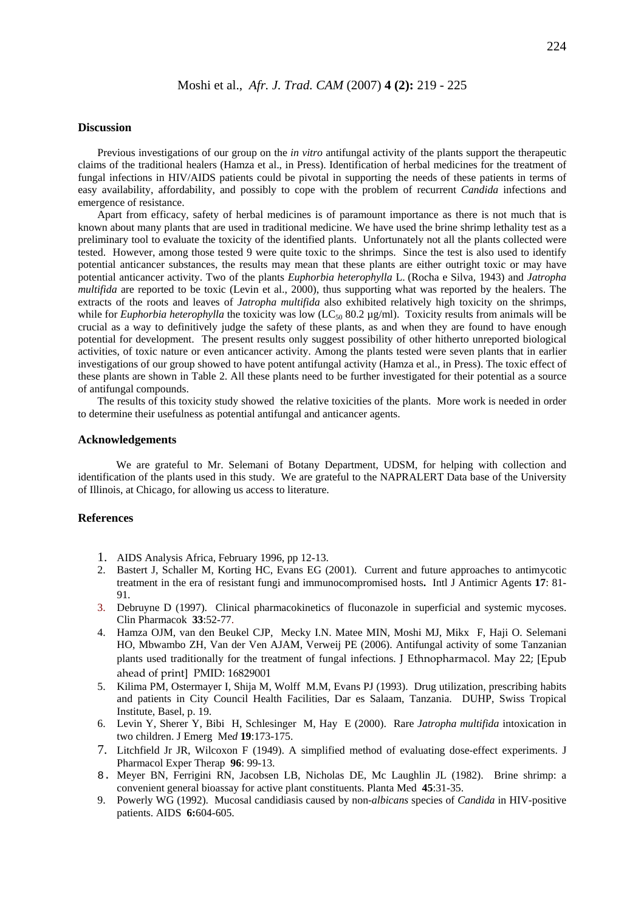#### **Discussion**

Previous investigations of our group on the *in vitro* antifungal activity of the plants support the therapeutic claims of the traditional healers (Hamza et al., in Press). Identification of herbal medicines for the treatment of fungal infections in HIV/AIDS patients could be pivotal in supporting the needs of these patients in terms of easy availability, affordability, and possibly to cope with the problem of recurrent *Candida* infections and emergence of resistance.

Apart from efficacy, safety of herbal medicines is of paramount importance as there is not much that is known about many plants that are used in traditional medicine. We have used the brine shrimp lethality test as a preliminary tool to evaluate the toxicity of the identified plants. Unfortunately not all the plants collected were tested. However, among those tested 9 were quite toxic to the shrimps. Since the test is also used to identify potential anticancer substances, the results may mean that these plants are either outright toxic or may have potential anticancer activity. Two of the plants *Euphorbia heterophylla* L. (Rocha e Silva*,* 1943) and *Jatropha multifida* are reported to be toxic (Levin et al., 2000), thus supporting what was reported by the healers. The extracts of the roots and leaves of *Jatropha multifida* also exhibited relatively high toxicity on the shrimps, while for *Euphorbia heterophylla* the toxicity was low (LC<sub>50</sub> 80.2 µg/ml). Toxicity results from animals will be crucial as a way to definitively judge the safety of these plants, as and when they are found to have enough potential for development. The present results only suggest possibility of other hitherto unreported biological activities, of toxic nature or even anticancer activity. Among the plants tested were seven plants that in earlier investigations of our group showed to have potent antifungal activity (Hamza et al., in Press). The toxic effect of these plants are shown in Table 2. All these plants need to be further investigated for their potential as a source of antifungal compounds.

The results of this toxicity study showed the relative toxicities of the plants. More work is needed in order to determine their usefulness as potential antifungal and anticancer agents.

#### **Acknowledgements**

We are grateful to Mr. Selemani of Botany Department, UDSM, for helping with collection and identification of the plants used in this study. We are grateful to the NAPRALERT Data base of the University of Illinois, at Chicago, for allowing us access to literature.

## **References**

- 1. AIDS Analysis Africa, February 1996, pp 12-13.
- 2. Bastert J, Schaller M, Korting HC, Evans EG (2001). Current and future approaches to antimycotic treatment in the era of resistant fungi and immunocompromised hosts**.** Intl J Antimicr Agents **17**: 81- 91.
- 3. [Debruyne D](http://www.ncbi.nlm.nih.gov/entrez/query.fcgi?cmd=Retrieve&db=pubmed&dopt=Abstract&list_uids=9250423) (1997). Clinical pharmacokinetics of fluconazole in superficial and systemic mycoses. Clin Pharmacok **33**:52-77.
- 4. Hamza OJM, van den Beukel CJP, Mecky I.N. Matee MIN, Moshi MJ, Mikx F, Haji O. Selemani HO, Mbwambo ZH, Van der Ven AJAM, Verweij PE (2006). Antifungal activity of some Tanzanian plants used traditionally for the treatment of fungal infections. J Ethnopharmacol. May 22; [Epub ahead of print] PMID: 16829001
- 5. Kilima PM, Ostermayer I, Shija M, Wolff M.M, Evans PJ (1993). Drug utilization, prescribing habits and patients in City Council Health Facilities, Dar es Salaam, Tanzania. DUHP, Swiss Tropical Institute, Basel, p. 19.
- 6. Levin Y, Sherer Y, Bibi H, Schlesinger M, Hay E (2000). Rare *Jatropha multifida* intoxication in two children. J Emerg Me*d* **19**:173-175.
- 7. Litchfield Jr JR, Wilcoxon F (1949). A simplified method of evaluating dose-effect experiments. J Pharmacol Exper Therap **96**: 99-13.
- 8. Meyer BN, Ferrigini RN, Jacobsen LB, Nicholas DE, Mc Laughlin JL (1982). Brine shrimp: a convenient general bioassay for active plant constituents. Planta Med **45**:31-35.
- 9. Powerly WG (1992). Mucosal candidiasis caused by non-*albicans* species of *Candida* in HIV-positive patients. AIDS **6:**604-605.